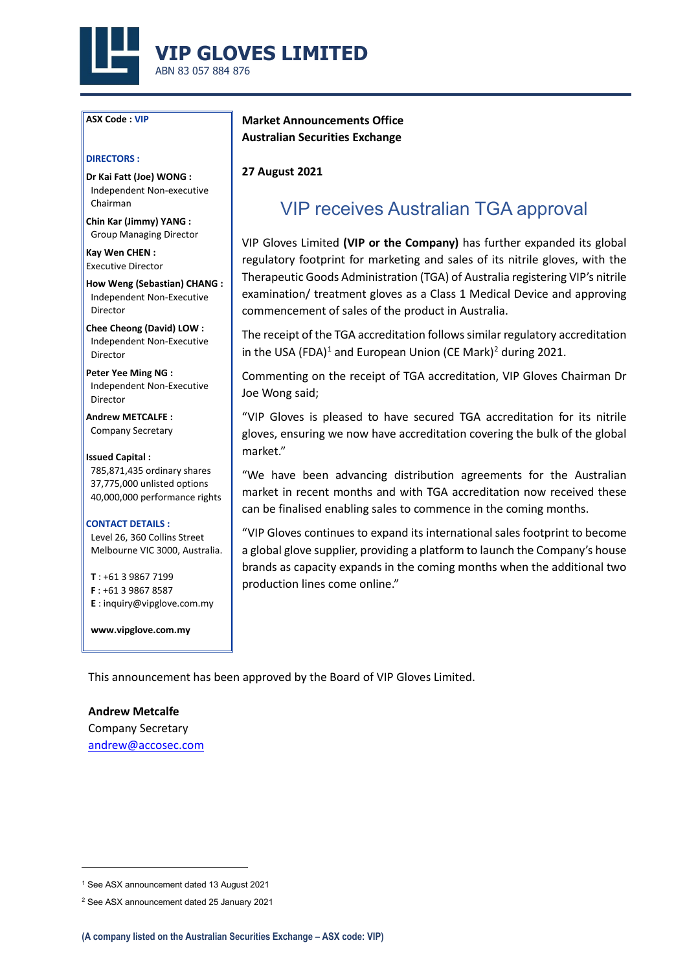

### **ASX Code : VIP**

### **DIRECTORS :**

**Dr Kai Fatt (Joe) WONG :** Independent Non-executive Chairman

**Chin Kar (Jimmy) YANG :** Group Managing Director

**Kay Wen CHEN :** Executive Director

**How Weng (Sebastian) CHANG :**  Independent Non-Executive Director

**Chee Cheong (David) LOW :** Independent Non-Executive Director

**Peter Yee Ming NG :** Independent Non-Executive Director

**Andrew METCALFE :** Company Secretary

### **Issued Capital :**

785,871,435 ordinary shares 37,775,000 unlisted options 40,000,000 performance rights

### **CONTACT DETAILS :**

Level 26, 360 Collins Street Melbourne VIC 3000, Australia.

**T** : +61 3 9867 7199 **F** : +61 3 9867 8587 **E** : inquiry@vipglove.com.my

**www.vipglove.com.my**

**Market Announcements Office Australian Securities Exchange**

**27 August 2021**

# VIP receives Australian TGA approval

VIP Gloves Limited **(VIP or the Company)** has further expanded its global regulatory footprint for marketing and sales of its nitrile gloves, with the Therapeutic Goods Administration (TGA) of Australia registering VIP's nitrile examination/ treatment gloves as a Class 1 Medical Device and approving commencement of sales of the product in Australia.

The receipt of the TGA accreditation follows similar regulatory accreditation in the USA (FDA)<sup>[1](#page-0-0)</sup> and European Union (CE Mark)<sup>[2](#page-0-1)</sup> during 2021.

Commenting on the receipt of TGA accreditation, VIP Gloves Chairman Dr Joe Wong said;

"VIP Gloves is pleased to have secured TGA accreditation for its nitrile gloves, ensuring we now have accreditation covering the bulk of the global market."

"We have been advancing distribution agreements for the Australian market in recent months and with TGA accreditation now received these can be finalised enabling sales to commence in the coming months.

"VIP Gloves continues to expand its international sales footprint to become a global glove supplier, providing a platform to launch the Company's house brands as capacity expands in the coming months when the additional two production lines come online."

This announcement has been approved by the Board of VIP Gloves Limited.

**Andrew Metcalfe** Company Secretary [andrew@accosec.com](mailto:andrew@accosec.com)

<span id="page-0-0"></span><sup>1</sup> See ASX announcement dated 13 August 2021

<span id="page-0-1"></span><sup>2</sup> See ASX announcement dated 25 January 2021